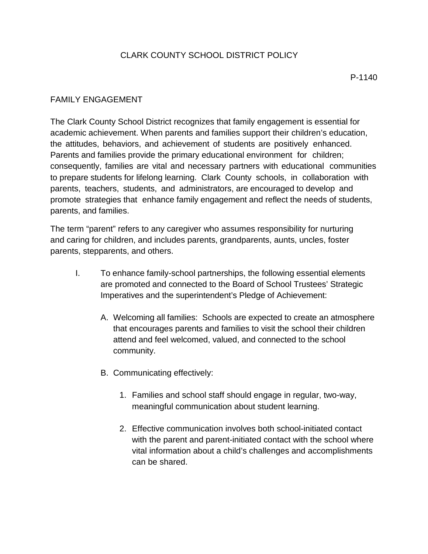## CLARK COUNTY SCHOOL DISTRICT POLICY

## FAMILY ENGAGEMENT

The Clark County School District recognizes that family engagement is essential for academic achievement. When parents and families support their children's education, the attitudes, behaviors, and achievement of students are positively enhanced. Parents and families provide the primary educational environment for children; consequently, families are vital and necessary partners with educational communities to prepare students for lifelong learning. Clark County schools, in collaboration with parents, teachers, students, and administrators, are encouraged to develop and promote strategies that enhance family engagement and reflect the needs of students, parents, and families.

The term "parent" refers to any caregiver who assumes responsibility for nurturing and caring for children, and includes parents, grandparents, aunts, uncles, foster parents, stepparents, and others.

- I. To enhance family-school partnerships, the following essential elements are promoted and connected to the Board of School Trustees' Strategic Imperatives and the superintendent's Pledge of Achievement:
	- A. Welcoming all families: Schools are expected to create an atmosphere that encourages parents and families to visit the school their children attend and feel welcomed, valued, and connected to the school community.
	- B. Communicating effectively:
		- 1. Families and school staff should engage in regular, two-way, meaningful communication about student learning.
		- 2. Effective communication involves both school-initiated contact with the parent and parent-initiated contact with the school where vital information about a child's challenges and accomplishments can be shared.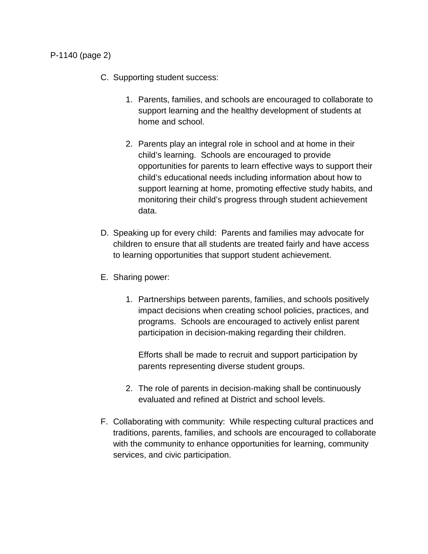- C. Supporting student success:
	- 1. Parents, families, and schools are encouraged to collaborate to support learning and the healthy development of students at home and school.
	- 2. Parents play an integral role in school and at home in their child's learning. Schools are encouraged to provide opportunities for parents to learn effective ways to support their child's educational needs including information about how to support learning at home, promoting effective study habits, and monitoring their child's progress through student achievement data.
- D. Speaking up for every child: Parents and families may advocate for children to ensure that all students are treated fairly and have access to learning opportunities that support student achievement.
- E. Sharing power:
	- 1. Partnerships between parents, families, and schools positively impact decisions when creating school policies, practices, and programs. Schools are encouraged to actively enlist parent participation in decision-making regarding their children.

Efforts shall be made to recruit and support participation by parents representing diverse student groups.

- 2. The role of parents in decision-making shall be continuously evaluated and refined at District and school levels.
- F. Collaborating with community: While respecting cultural practices and traditions, parents, families, and schools are encouraged to collaborate with the community to enhance opportunities for learning, community services, and civic participation.